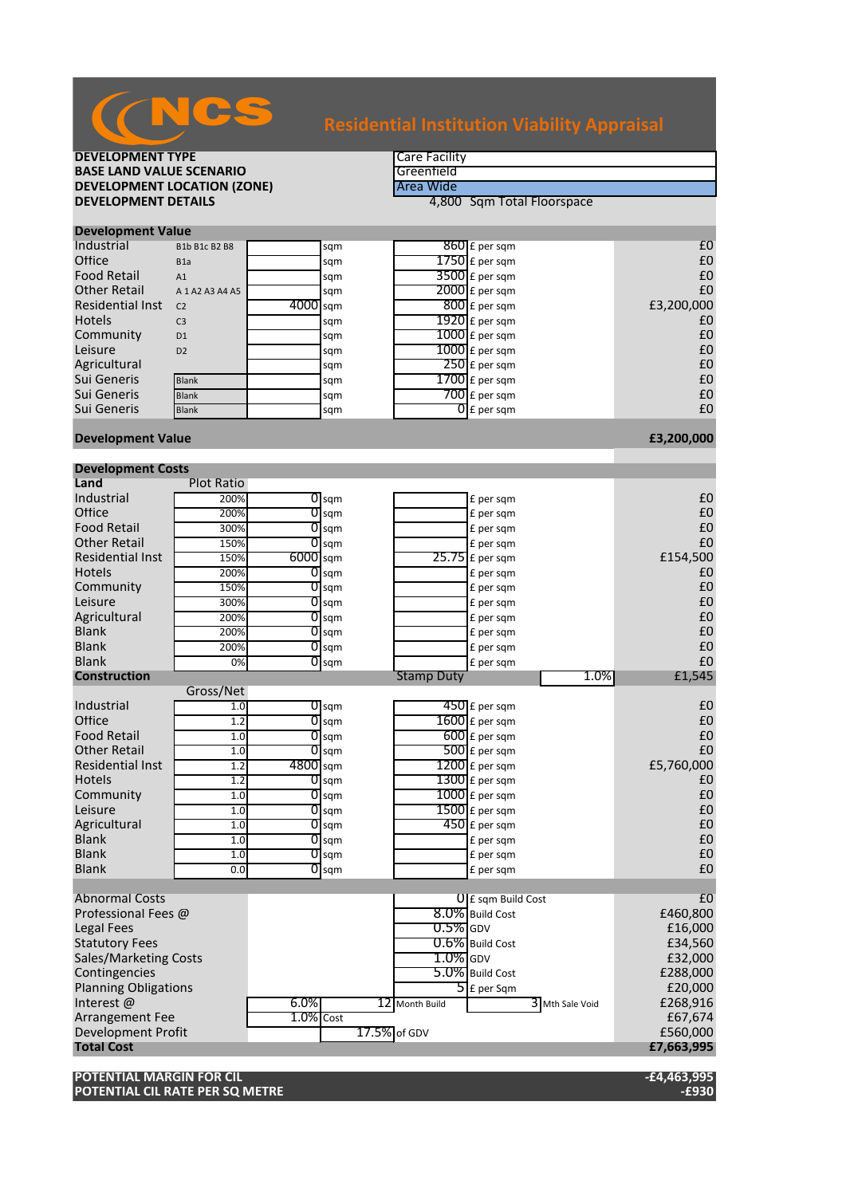| <b>BASE LAND VALUE SCENARIO</b>    |                     |              | Greenfield         |                   |                               |      |            |  |
|------------------------------------|---------------------|--------------|--------------------|-------------------|-------------------------------|------|------------|--|
| <b>DEVELOPMENT LOCATION (ZONE)</b> |                     |              |                    | Area Wide         |                               |      |            |  |
| <b>DEVELOPMENT DETAILS</b>         |                     |              |                    |                   | 4,800 Sqm Total Floorspace    |      |            |  |
|                                    |                     |              |                    |                   |                               |      |            |  |
| <b>Development Value</b>           |                     |              |                    |                   |                               |      |            |  |
| Industrial                         | B1b B1c B2 B8       |              | sqm                |                   | 860 £ per sqm                 |      | £0         |  |
| Office                             | B <sub>1</sub> a    |              | sqm                |                   | $1750$ £ per sqm              |      | £0         |  |
| <b>Food Retail</b>                 | A1                  |              | sqm                |                   | $3500$ £ per sqm              |      | £0         |  |
| <b>Other Retail</b>                | A 1 A 2 A 3 A 4 A 5 |              | sqm                |                   | $2000$ £ per sqm              |      | £0         |  |
| <b>Residential Inst</b>            | C <sub>2</sub>      | 4000 sqm     |                    |                   | $800$ £ per sqm               |      | £3,200,000 |  |
| <b>Hotels</b>                      | C <sub>3</sub>      |              |                    |                   | $1920$ £ per sqm              |      | £0         |  |
|                                    |                     |              | sqm                |                   |                               |      | £0         |  |
| Community                          | D <sub>1</sub>      |              | sqm                |                   | $1000$ $E$ per sqm            |      |            |  |
| Leisure                            | D <sub>2</sub>      |              | sqm                |                   | $1000$ $E$ per sqm            |      | £0         |  |
| Agricultural                       |                     |              | sqm                |                   | $250$ £ per sqm               |      | £0         |  |
| Sui Generis                        | Blank               |              | sqm                |                   | $1700$ £ per sqm              |      | £0         |  |
| Sui Generis                        | <b>Blank</b>        |              | sqm                |                   | $700$ £ per sqm               |      | £0         |  |
| Sui Generis                        | <b>Blank</b>        |              | sqm                |                   | $\overline{0}$ £ per sqm      |      | £0         |  |
|                                    |                     |              |                    |                   |                               |      |            |  |
| <b>Development Value</b>           |                     |              |                    |                   |                               |      | £3,200,000 |  |
|                                    |                     |              |                    |                   |                               |      |            |  |
| <b>Development Costs</b>           |                     |              |                    |                   |                               |      |            |  |
| Land                               | <b>Plot Ratio</b>   |              |                    |                   |                               |      |            |  |
| Industrial                         | 200%                |              | $\overline{0}$ sqm |                   | £ per sqm                     |      | £0         |  |
| Office                             | 200%                |              | $0$ sqm            |                   | £ per sqm                     |      | £0         |  |
| <b>Food Retail</b>                 | 300%                | 0            | sqm                |                   | £ per sqm                     |      | £0         |  |
| <b>Other Retail</b>                | 150%                | 0            | sqm                |                   | £ per sqm                     |      | £0         |  |
| <b>Residential Inst</b>            | 150%                | 6000 sqm     |                    |                   | $25.75$ £ per sqm             |      | £154,500   |  |
| Hotels                             | 200%                |              | $\overline{0}$ sqm |                   | £ per sqm                     |      | £0         |  |
| Community                          | 150%                | 0            | sqm                |                   | £ per sqm                     |      | £0         |  |
| Leisure                            | 300%                | 0            | sqm                |                   | £ per sqm                     |      | £0         |  |
| Agricultural                       | 200%                | 0            | sqm                |                   | £ per sqm                     |      | £0         |  |
| <b>Blank</b>                       | 200%                |              | $\overline{0}$ sqm |                   | £ per sqm                     |      | £0         |  |
| <b>Blank</b>                       | 200%                |              | $O$ sqm            |                   | £ per sqm                     |      | £0         |  |
| <b>Blank</b>                       | 0%                  |              | $0$ sqm            |                   | £ per sqm                     |      | £0         |  |
| <b>Construction</b>                |                     |              |                    | <b>Stamp Duty</b> |                               | 1.0% | £1,545     |  |
|                                    | Gross/Net           |              |                    |                   |                               |      |            |  |
| Industrial                         | 1.0                 |              | $\overline{O}$ sqm |                   | $\overline{450}$ £ per sqm    |      | £0         |  |
| Office                             | 1.2                 |              | $\overline{0}$ sqm |                   | $1600$ £ per sqm              |      | £0         |  |
| <b>Food Retail</b>                 | 1.0                 |              | $\overline{0}$ sqm |                   | $600$ £ per sqm               |      | £0         |  |
| <b>Other Retail</b>                | 1.0                 |              | $\overline{0}$ sqm |                   | $500$ £ per sqm               |      | £0         |  |
| <b>Residential Inst</b>            | 1.2                 | 4800 sqm     |                    |                   | $1200$ £ per sqm              |      | £5,760,000 |  |
| Hotels                             | 1.2                 |              | $O$ sqm            |                   | $1300$ £ per sqm              |      | £0         |  |
| Community                          | 1.0                 |              | $\overline{0}$ sqm |                   | $\overline{1000}$ £ per sqm   |      | £0         |  |
| Leisure                            | 1.0                 |              | $\overline{O}$ sqm |                   | $1500$ £ per sqm              |      | £0         |  |
| Agricultural                       | 1.0                 |              | $0$ sqm            |                   | $450$ £ per sqm               |      | £0         |  |
| <b>Blank</b>                       | 1.0                 | 0            | sqm                |                   | £ per sqm                     |      | £0         |  |
| <b>Blank</b>                       |                     |              |                    |                   |                               |      | £0         |  |
|                                    | 1.0                 |              | $0\,\mathrm{kgm}$  |                   | £ per sqm                     |      | £0         |  |
| <b>Blank</b>                       | 0.0                 | 0            | sqm                |                   | £ per sqm                     |      |            |  |
|                                    |                     |              |                    |                   |                               |      |            |  |
| <b>Abnormal Costs</b>              |                     |              |                    |                   | $\mathbf{0}$ E sqm Build Cost |      | £0         |  |
| Professional Fees @                |                     |              |                    |                   | 8.0% Build Cost               |      | £460,800   |  |
| <b>Legal Fees</b>                  |                     |              |                    | $0.5%$ GDV        |                               |      | £16,000    |  |
| <b>Statutory Fees</b>              |                     |              |                    |                   | 0.6% Build Cost               |      | £34,560    |  |
| <b>Sales/Marketing Costs</b>       |                     |              |                    | $1.0\%$ GDV       |                               |      | £32,000    |  |
| Contingencies                      |                     |              |                    |                   | 5.0% Build Cost               |      | £288,000   |  |
| <b>Planning Obligations</b>        |                     |              |                    |                   | $5$ E per Sqm                 |      | £20,000    |  |
| Interest@                          |                     | 6.0%         |                    | 12 Month Build    | 3 Mth Sale Void               |      | £268,916   |  |
| <b>Arrangement Fee</b>             |                     | $1.0\%$ Cost |                    |                   |                               |      | £67,674    |  |
| Development Profit                 |                     |              | 17.5% of GDV       |                   |                               |      | £560,000   |  |
| <b>Total Cost</b>                  |                     |              |                    |                   |                               |      | £7,663,995 |  |
|                                    |                     |              |                    |                   |                               |      |            |  |

**DEVELOPMENT TYPE**<br> **BASE LAND VALUE SCENARIO** 

**POTENTIAL MARGIN FOR CIL -£4,463,995 POTENTIAL CIL RATE PER SQ METRE -£930**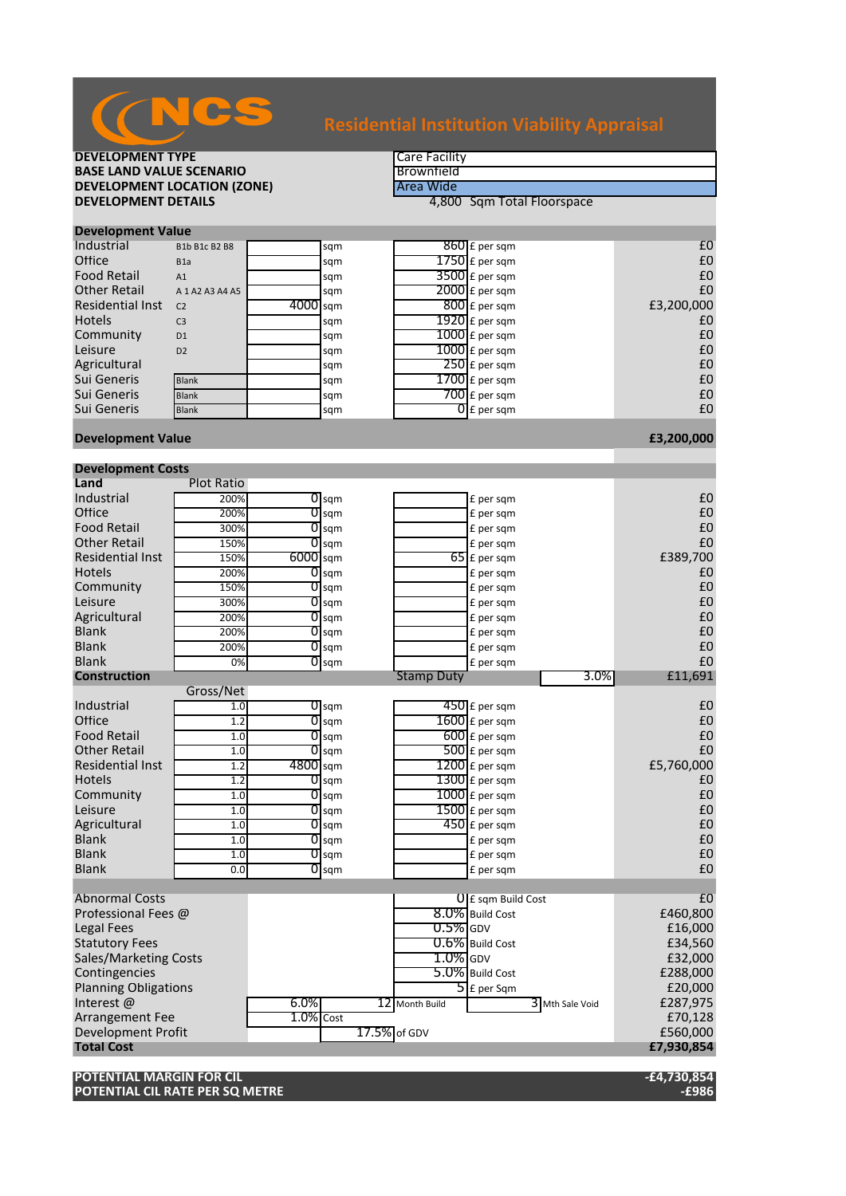| <b>BASE LAND VALUE SCENARIO</b>    |                      |           |                    | Brownfield        |                            |                   |
|------------------------------------|----------------------|-----------|--------------------|-------------------|----------------------------|-------------------|
| <b>DEVELOPMENT LOCATION (ZONE)</b> |                      |           |                    | Area Wide         |                            |                   |
| <b>DEVELOPMENT DETAILS</b>         |                      |           |                    |                   | 4,800 Sqm Total Floorspace |                   |
|                                    |                      |           |                    |                   |                            |                   |
| <b>Development Value</b>           |                      |           |                    |                   |                            |                   |
| Industrial                         | <b>B1b B1c B2 B8</b> |           | sqm                |                   | $860 \text{ f}$ per sqm    | £0                |
| Office                             | B <sub>1</sub> a     |           | sqm                |                   | $1750$ £ per sqm           | $\pmb{\text{f0}}$ |
| <b>Food Retail</b>                 | A1                   |           | sqm                |                   | $3500$ £ per sqm           | £0                |
| <b>Other Retail</b>                | A 1 A 2 A 3 A 4 A 5  |           | sqm                |                   | $2000$ £ per sqm           | £0                |
| <b>Residential Inst</b>            | C <sub>2</sub>       | 4000 sqm  |                    |                   | $800$ £ per sqm            | £3,200,000        |
| <b>Hotels</b>                      | C <sub>3</sub>       |           | sqm                |                   | $1920$ £ per sqm           | £0                |
| Community                          | D <sub>1</sub>       |           | sqm                |                   | 1000 £ per sqm             | £0                |
| Leisure                            | D <sub>2</sub>       |           | sqm                |                   | $1000$ $f$ per sqm         | £0                |
| Agricultural                       |                      |           | sqm                |                   | $250$ £ per sqm            | £0                |
| Sui Generis                        | <b>Blank</b>         |           | sqm                |                   | $1700$ $E$ per sqm         | £0                |
| Sui Generis                        | Blank                |           | sqm                |                   | $700$ £ per sqm            | £0                |
| Sui Generis                        | <b>Blank</b>         |           | sqm                |                   | $\overline{0}$ £ per sqm   | £0                |
| <b>Development Value</b>           |                      |           |                    |                   |                            | £3,200,000        |
| <b>Development Costs</b>           |                      |           |                    |                   |                            |                   |
| Land                               | <b>Plot Ratio</b>    |           |                    |                   |                            |                   |
| Industrial                         | 200%                 |           | $\overline{O}$ sqm |                   | £ per sqm                  | £0                |
| Office                             | 200%                 | 0         | sqm                |                   | £ per sqm                  | £0                |
| <b>Food Retail</b>                 | 300%                 | 0         | sqm                |                   | £ per sqm                  | £0                |
| <b>Other Retail</b>                | 150%                 |           | $\overline{0}$ sqm |                   | £ per sqm                  | £0                |
| <b>Residential Inst</b>            | 150%                 | 6000 sqm  |                    |                   | $65$ £ per sqm             | £389,700          |
| <b>Hotels</b>                      | 200%                 | 0         | sqm                |                   | £ per sqm                  | £0                |
| Community                          | 150%                 | 0         | sqm                |                   | £ per sqm                  | £0                |
| Leisure                            | 300%                 | 01        | sqm                |                   | £ per sqm                  | £0                |
| Agricultural                       | 200%                 | 0         | sqm                |                   | £ per sqm                  | £0                |
| <b>Blank</b>                       | 200%                 | 0         | sqm                |                   | £ per sqm                  | £0                |
| <b>Blank</b>                       | 200%                 | 0         | sqm                |                   | £ per sqm                  | £0                |
| <b>Blank</b>                       | 0%                   | 0         | sqm                |                   | £ per sqm                  | £0                |
| <b>Construction</b>                |                      |           |                    | <b>Stamp Duty</b> | 3.0%                       | £11,691           |
|                                    | Gross/Net            |           |                    |                   |                            |                   |
| Industrial                         | 1.0                  |           | $\overline{0}$ sqm |                   | $450$ £ per sqm            | £0                |
| Office                             | 1.2                  | 01        | sqm                |                   | $1600$ £ per sqm           | £0                |
| <b>Food Retail</b>                 | 1.0                  |           | $0$ sqm            |                   | $600$ £ per sqm            | £0                |
| <b>Other Retail</b>                | 1.0                  |           | $\overline{O}$ sqm |                   | 500 £ per sqm              | £0                |
| <b>Residential Inst</b>            | 1.2                  | 4800 sqm  |                    |                   | $1200$ £ per sqm           | £5,760,000        |
| <b>Hotels</b>                      | 1.2                  |           | $O$ sqm            |                   | $1300$ £ per sqm           | £0                |
| Community                          | 1.0                  |           | $0$ sqm            |                   | $1000$ £ per sqm           | £0                |
| Leisure                            | 1.0                  |           | $0$ sqm            |                   | $1500$ £ per sqm           | £0                |
| Agricultural                       | 1.0                  |           | $\overline{0}$ sqm |                   | $450$ £ per sqm            | £0                |
| <b>Blank</b>                       | 1.0                  |           | $\overline{0}$ sqm |                   | £ per sqm                  | £0                |
| <b>Blank</b>                       | 1.0                  |           | $\overline{0}$ sqm |                   | £ per sqm                  | £0                |
| <b>Blank</b>                       | 0.0                  |           | $\overline{0}$ sqm |                   | £ per sqm                  | £0                |
|                                    |                      |           |                    |                   |                            |                   |
| <b>Abnormal Costs</b>              |                      |           |                    |                   | U E sqm Build Cost         | £0                |
| Professional Fees @                |                      |           |                    |                   | 8.0% Build Cost            | £460,800          |
| <b>Legal Fees</b>                  |                      |           |                    | $0.5\%$ GDV       |                            | £16,000           |
| <b>Statutory Fees</b>              |                      |           |                    |                   | 0.6% Build Cost            | £34,560           |
| Sales/Marketing Costs              |                      |           |                    | $1.0\%$ GDV       |                            | £32,000           |
| Contingencies                      |                      |           |                    |                   | 5.0% Build Cost            | £288,000          |
| <b>Planning Obligations</b>        |                      |           |                    |                   | $\overline{5}$ E per Sqm   | £20,000           |
| Interest @                         |                      | 6.0%      |                    | 12 Month Build    | 3 Mth Sale Void            | £287,975          |
| <b>Arrangement Fee</b>             |                      | 1.0% Cost |                    |                   |                            | £70,128           |
| Development Profit                 |                      |           | 17.5% of GDV       |                   |                            | £560,000          |
| <b>Total Cost</b>                  |                      |           |                    |                   |                            | £7,930,854        |
|                                    |                      |           |                    |                   |                            |                   |
| POTENTIAL MARGIN FOR CIL           |                      |           |                    |                   |                            | $-£4,730,854$     |

**POTENTIAL CIL RATE PER SQ METRE -£986**

## **DEVELOPMENT TYPE Care Facility**

NCS